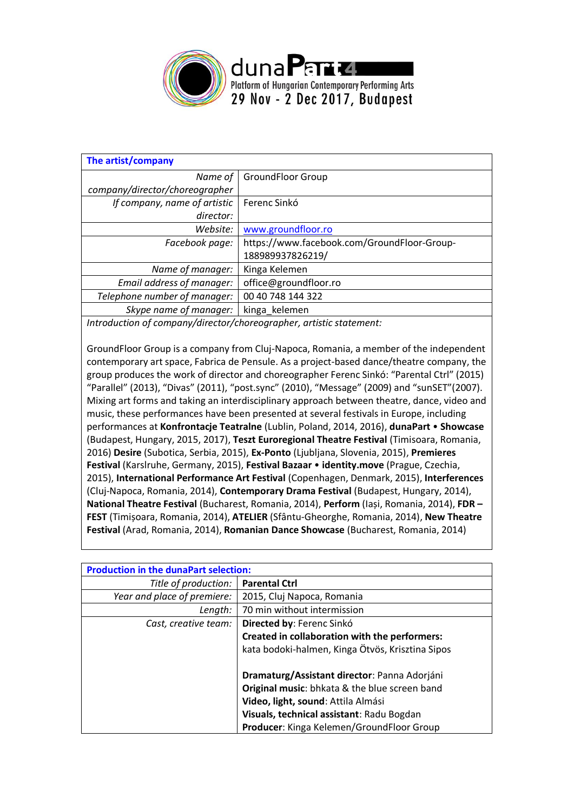

| The artist/company                                                                                                                                                                                                               |                                             |  |
|----------------------------------------------------------------------------------------------------------------------------------------------------------------------------------------------------------------------------------|---------------------------------------------|--|
| Name of                                                                                                                                                                                                                          | <b>GroundFloor Group</b>                    |  |
| company/director/choreographer                                                                                                                                                                                                   |                                             |  |
| If company, name of artistic                                                                                                                                                                                                     | Ferenc Sinkó                                |  |
| director:                                                                                                                                                                                                                        |                                             |  |
| Website:                                                                                                                                                                                                                         | www.groundfloor.ro                          |  |
| Facebook page:                                                                                                                                                                                                                   | https://www.facebook.com/GroundFloor-Group- |  |
|                                                                                                                                                                                                                                  | 188989937826219/                            |  |
| Name of manager:                                                                                                                                                                                                                 | Kinga Kelemen                               |  |
| Email address of manager:                                                                                                                                                                                                        | office@groundfloor.ro                       |  |
| Telephone number of manager:                                                                                                                                                                                                     | 00 40 748 144 322                           |  |
| Skype name of manager:                                                                                                                                                                                                           | kinga kelemen                               |  |
| $\mathbf{r}$ , and the set of the set of the set of the set of the set of the set of the set of the set of the set of the set of the set of the set of the set of the set of the set of the set of the set of the set of the set |                                             |  |

*Introduction of company/director/choreographer, artistic statement:*

GroundFloor Group is a company from Cluj-Napoca, Romania, a member of the independent contemporary art space, Fabrica de Pensule. As a project-based dance/theatre company, the group produces the work of director and choreographer Ferenc Sinkó: "Parental Ctrl" (2015) "Parallel" (2013), "Divas" (2011), "post.sync" (2010), "Message" (2009) and "sunSET"(2007). Mixing art forms and taking an interdisciplinary approach between theatre, dance, video and music, these performances have been presented at several festivals in Europe, including performances at **Konfrontacje Teatralne** (Lublin, Poland, 2014, 2016), **dunaPart** • **Showcase** (Budapest, Hungary, 2015, 2017), **Teszt Euroregional Theatre Festival** (Timisoara, Romania, 2016) **Desire** (Subotica, Serbia, 2015), **Ex-Ponto** (Ljubljana, Slovenia, 2015), **Premieres Festival** (Karslruhe, Germany, 2015), **Festival Bazaar** • **identity.move** (Prague, Czechia, 2015), **International Performance Art Festival** (Copenhagen, Denmark, 2015), **Interferences**  (Cluj-Napoca, Romania, 2014), **Contemporary Drama Festival** (Budapest, Hungary, 2014), **National Theatre Festival** (Bucharest, Romania, 2014), **Perform** (Iași, Romania, 2014), **FDR – FEST** (Timișoara, Romania, 2014), **ATELIER** (Sfântu-Gheorghe, Romania, 2014), **New Theatre Festival** (Arad, Romania, 2014), **Romanian Dance Showcase** (Bucharest, Romania, 2014)

| <b>Production in the dunaPart selection:</b> |                                                  |  |
|----------------------------------------------|--------------------------------------------------|--|
| Title of production:                         | <b>Parental Ctrl</b>                             |  |
| Year and place of premiere:                  | 2015, Cluj Napoca, Romania                       |  |
| Length:                                      | 70 min without intermission                      |  |
| Cast, creative team:                         | Directed by: Ferenc Sinkó                        |  |
|                                              | Created in collaboration with the performers:    |  |
|                                              | kata bodoki-halmen, Kinga Ötvös, Krisztina Sipos |  |
|                                              | Dramaturg/Assistant director: Panna Adorjáni     |  |
|                                              | Original music: bhkata & the blue screen band    |  |
|                                              | Video, light, sound: Attila Almási               |  |
|                                              | Visuals, technical assistant: Radu Bogdan        |  |
|                                              | Producer: Kinga Kelemen/GroundFloor Group        |  |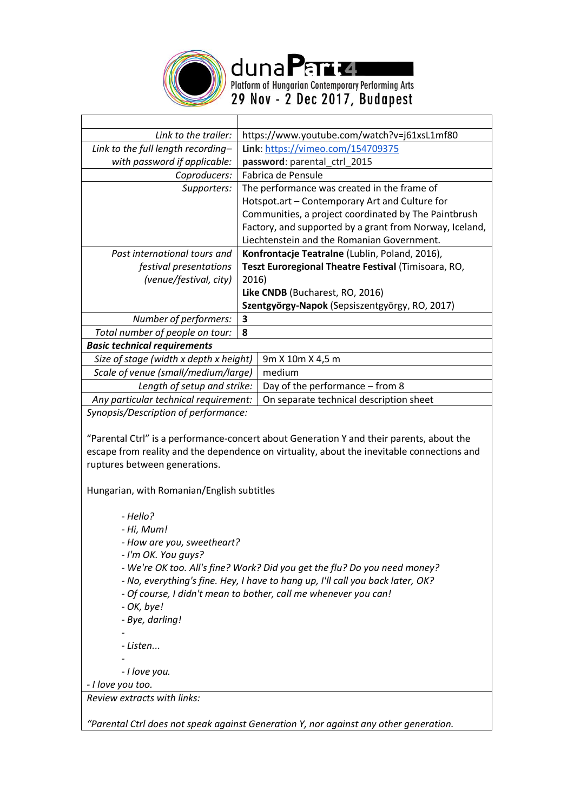

dunaPart4 Platform of Hungarian Contemporary Performing Arts 29 Nov - 2 Dec 2017, Budapest

| Link to the trailer:                   | https://www.youtube.com/watch?v=j61xsL1mf80             |  |
|----------------------------------------|---------------------------------------------------------|--|
| Link to the full length recording-     | Link: https://vimeo.com/154709375                       |  |
| with password if applicable:           | password: parental_ctrl_2015                            |  |
| Coproducers:                           | Fabrica de Pensule                                      |  |
| Supporters:                            | The performance was created in the frame of             |  |
|                                        | Hotspot.art - Contemporary Art and Culture for          |  |
|                                        | Communities, a project coordinated by The Paintbrush    |  |
|                                        | Factory, and supported by a grant from Norway, Iceland, |  |
|                                        | Liechtenstein and the Romanian Government.              |  |
| Past international tours and           | Konfrontacje Teatralne (Lublin, Poland, 2016),          |  |
| festival presentations                 | Teszt Euroregional Theatre Festival (Timisoara, RO,     |  |
| (venue/festival, city)                 | 2016)                                                   |  |
|                                        | Like CNDB (Bucharest, RO, 2016)                         |  |
|                                        | Szentgyörgy-Napok (Sepsiszentgyörgy, RO, 2017)          |  |
| Number of performers:                  | 3                                                       |  |
| Total number of people on tour:        | 8                                                       |  |
| <b>Basic technical requirements</b>    |                                                         |  |
| Size of stage (width x depth x height) | 9m X 10m X 4,5 m                                        |  |
| Scale of venue (small/medium/large)    | medium                                                  |  |
| Length of setup and strike:            | Day of the performance - from 8                         |  |
| Any particular technical requirement:  | On separate technical description sheet                 |  |
| Sunancis/Description of nerformance:   |                                                         |  |

*Synopsis/Description of performance:*

"Parental Ctrl" is a performance-concert about Generation Y and their parents, about the escape from reality and the dependence on virtuality, about the inevitable connections and ruptures between generations.

Hungarian, with Romanian/English subtitles

*- Hello?*

- *- Hi, Mum!*
- *- How are you, sweetheart?*
- *- I'm OK. You guys?*
- *- We're OK too. All's fine? Work? Did you get the flu? Do you need money?*
- *- No, everything's fine. Hey, I have to hang up, I'll call you back later, OK?*
- *- Of course, I didn't mean to bother, call me whenever you can!*
- *- OK, bye!*
- *- Bye, darling!*

*-*

*- Listen...*

*- - I love you.*

*- I love you too.*

*Review extracts with links:*

*"Parental Ctrl does not speak against Generation Y, nor against any other generation.*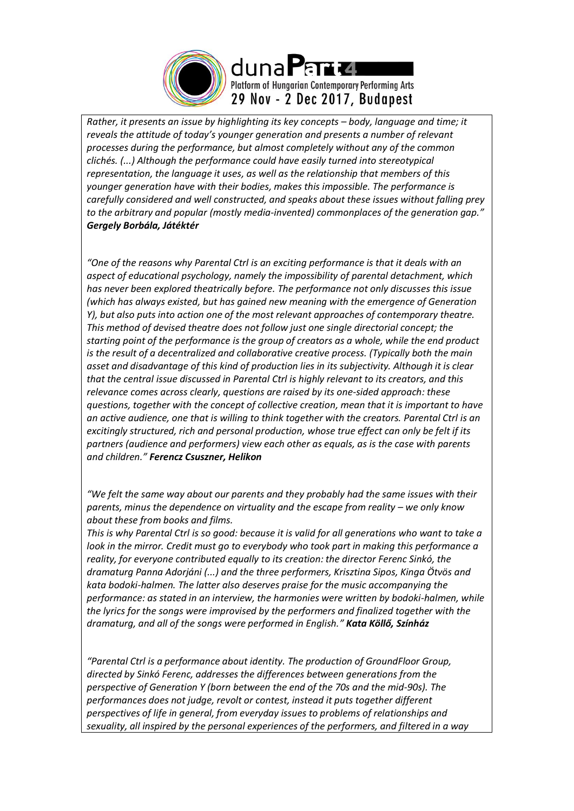

*Rather, it presents an issue by highlighting its key concepts – body, language and time; it reveals the attitude of today's younger generation and presents a number of relevant processes during the performance, but almost completely without any of the common clichés. (...) Although the performance could have easily turned into stereotypical representation, the language it uses, as well as the relationship that members of this younger generation have with their bodies, makes this impossible. The performance is carefully considered and well constructed, and speaks about these issues without falling prey to the arbitrary and popular (mostly media-invented) commonplaces of the generation gap." Gergely Borbála, Játéktér*

*"One of the reasons why Parental Ctrl is an exciting performance is that it deals with an aspect of educational psychology, namely the impossibility of parental detachment, which has never been explored theatrically before. The performance not only discusses this issue (which has always existed, but has gained new meaning with the emergence of Generation Y), but also puts into action one of the most relevant approaches of contemporary theatre. This method of devised theatre does not follow just one single directorial concept; the starting point of the performance is the group of creators as a whole, while the end product is the result of a decentralized and collaborative creative process. (Typically both the main asset and disadvantage of this kind of production lies in its subjectivity. Although it is clear that the central issue discussed in Parental Ctrl is highly relevant to its creators, and this relevance comes across clearly, questions are raised by its one-sided approach: these questions, together with the concept of collective creation, mean that it is important to have an active audience, one that is willing to think together with the creators. Parental Ctrl is an excitingly structured, rich and personal production, whose true effect can only be felt if its partners (audience and performers) view each other as equals, as is the case with parents and children." Ferencz Csuszner, Helikon*

*"We felt the same way about our parents and they probably had the same issues with their parents, minus the dependence on virtuality and the escape from reality – we only know about these from books and films.*

*This is why Parental Ctrl is so good: because it is valid for all generations who want to take a look in the mirror. Credit must go to everybody who took part in making this performance a reality, for everyone contributed equally to its creation: the director Ferenc Sinkó, the dramaturg Panna Adorjáni (...) and the three performers, Krisztina Sipos, Kinga Ötvös and kata bodoki-halmen. The latter also deserves praise for the music accompanying the performance: as stated in an interview, the harmonies were written by bodoki-halmen, while the lyrics for the songs were improvised by the performers and finalized together with the dramaturg, and all of the songs were performed in English." Kata Köllő, Színház*

*"Parental Ctrl is a performance about identity. The production of GroundFloor Group, directed by Sinkó Ferenc, addresses the differences between generations from the perspective of Generation Y (born between the end of the 70s and the mid-90s). The performances does not judge, revolt or contest, instead it puts together different perspectives of life in general, from everyday issues to problems of relationships and sexuality, all inspired by the personal experiences of the performers, and filtered in a way*